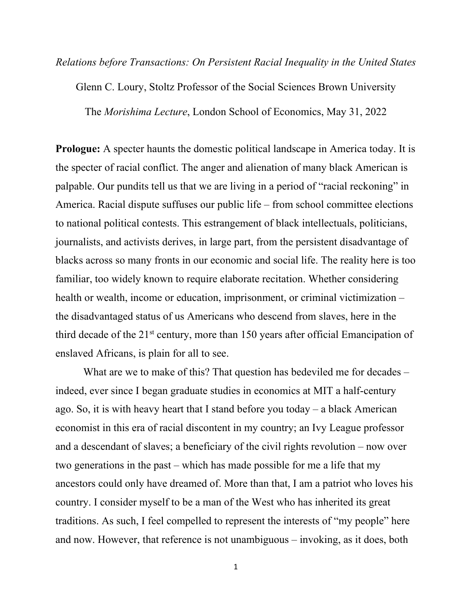*Relations before Transactions: On Persistent Racial Inequality in the United States*

Glenn C. Loury, Stoltz Professor of the Social Sciences Brown University

The *Morishima Lecture*, London School of Economics, May 31, 2022

**Prologue:** A specter haunts the domestic political landscape in America today. It is the specter of racial conflict. The anger and alienation of many black American is palpable. Our pundits tell us that we are living in a period of "racial reckoning" in America. Racial dispute suffuses our public life – from school committee elections to national political contests. This estrangement of black intellectuals, politicians, journalists, and activists derives, in large part, from the persistent disadvantage of blacks across so many fronts in our economic and social life. The reality here is too familiar, too widely known to require elaborate recitation. Whether considering health or wealth, income or education, imprisonment, or criminal victimization – the disadvantaged status of us Americans who descend from slaves, here in the third decade of the 21st century, more than 150 years after official Emancipation of enslaved Africans, is plain for all to see.

What are we to make of this? That question has bedeviled me for decades – indeed, ever since I began graduate studies in economics at MIT a half-century ago. So, it is with heavy heart that I stand before you today – a black American economist in this era of racial discontent in my country; an Ivy League professor and a descendant of slaves; a beneficiary of the civil rights revolution – now over two generations in the past – which has made possible for me a life that my ancestors could only have dreamed of. More than that, I am a patriot who loves his country. I consider myself to be a man of the West who has inherited its great traditions. As such, I feel compelled to represent the interests of "my people" here and now. However, that reference is not unambiguous – invoking, as it does, both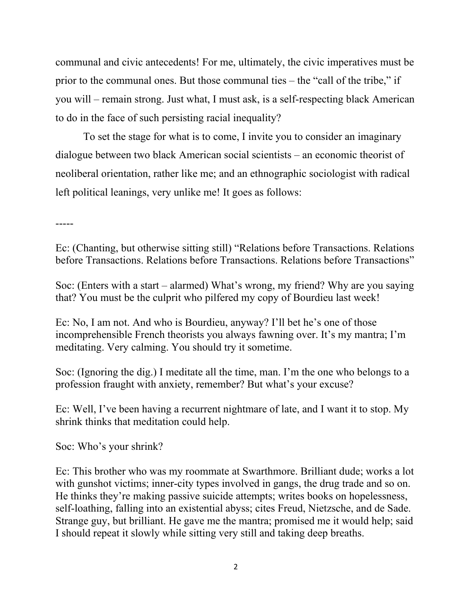communal and civic antecedents! For me, ultimately, the civic imperatives must be prior to the communal ones. But those communal ties – the "call of the tribe," if you will – remain strong. Just what, I must ask, is a self-respecting black American to do in the face of such persisting racial inequality?

To set the stage for what is to come, I invite you to consider an imaginary dialogue between two black American social scientists – an economic theorist of neoliberal orientation, rather like me; and an ethnographic sociologist with radical left political leanings, very unlike me! It goes as follows:

-----

Ec: (Chanting, but otherwise sitting still) "Relations before Transactions. Relations before Transactions. Relations before Transactions. Relations before Transactions"

Soc: (Enters with a start – alarmed) What's wrong, my friend? Why are you saying that? You must be the culprit who pilfered my copy of Bourdieu last week!

Ec: No, I am not. And who is Bourdieu, anyway? I'll bet he's one of those incomprehensible French theorists you always fawning over. It's my mantra; I'm meditating. Very calming. You should try it sometime.

Soc: (Ignoring the dig.) I meditate all the time, man. I'm the one who belongs to a profession fraught with anxiety, remember? But what's your excuse?

Ec: Well, I've been having a recurrent nightmare of late, and I want it to stop. My shrink thinks that meditation could help.

Soc: Who's your shrink?

Ec: This brother who was my roommate at Swarthmore. Brilliant dude; works a lot with gunshot victims; inner-city types involved in gangs, the drug trade and so on. He thinks they're making passive suicide attempts; writes books on hopelessness, self-loathing, falling into an existential abyss; cites Freud, Nietzsche, and de Sade. Strange guy, but brilliant. He gave me the mantra; promised me it would help; said I should repeat it slowly while sitting very still and taking deep breaths.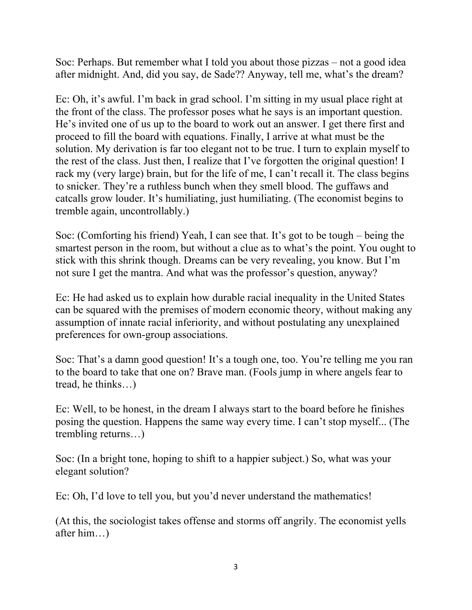Soc: Perhaps. But remember what I told you about those pizzas – not a good idea after midnight. And, did you say, de Sade?? Anyway, tell me, what's the dream?

Ec: Oh, it's awful. I'm back in grad school. I'm sitting in my usual place right at the front of the class. The professor poses what he says is an important question. He's invited one of us up to the board to work out an answer. I get there first and proceed to fill the board with equations. Finally, I arrive at what must be the solution. My derivation is far too elegant not to be true. I turn to explain myself to the rest of the class. Just then, I realize that I've forgotten the original question! I rack my (very large) brain, but for the life of me, I can't recall it. The class begins to snicker. They're a ruthless bunch when they smell blood. The guffaws and catcalls grow louder. It's humiliating, just humiliating. (The economist begins to tremble again, uncontrollably.)

Soc: (Comforting his friend) Yeah, I can see that. It's got to be tough – being the smartest person in the room, but without a clue as to what's the point. You ought to stick with this shrink though. Dreams can be very revealing, you know. But I'm not sure I get the mantra. And what was the professor's question, anyway?

Ec: He had asked us to explain how durable racial inequality in the United States can be squared with the premises of modern economic theory, without making any assumption of innate racial inferiority, and without postulating any unexplained preferences for own-group associations.

Soc: That's a damn good question! It's a tough one, too. You're telling me you ran to the board to take that one on? Brave man. (Fools jump in where angels fear to tread, he thinks…)

Ec: Well, to be honest, in the dream I always start to the board before he finishes posing the question. Happens the same way every time. I can't stop myself... (The trembling returns…)

Soc: (In a bright tone, hoping to shift to a happier subject.) So, what was your elegant solution?

Ec: Oh, I'd love to tell you, but you'd never understand the mathematics!

(At this, the sociologist takes offense and storms off angrily. The economist yells after him…)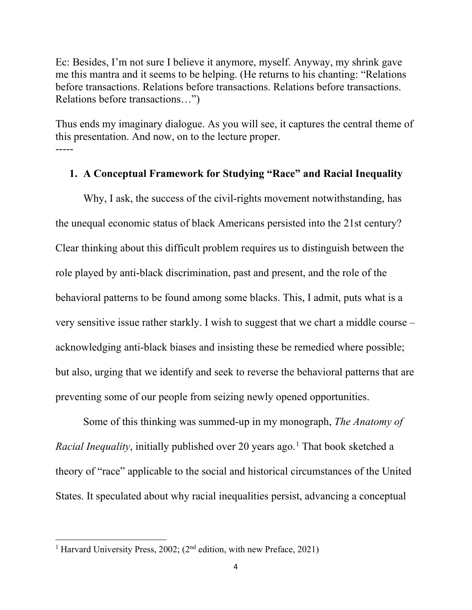Ec: Besides, I'm not sure I believe it anymore, myself. Anyway, my shrink gave me this mantra and it seems to be helping. (He returns to his chanting: "Relations before transactions. Relations before transactions. Relations before transactions. Relations before transactions…")

Thus ends my imaginary dialogue. As you will see, it captures the central theme of this presentation. And now, on to the lecture proper. -----

### **1. A Conceptual Framework for Studying "Race" and Racial Inequality**

Why, I ask, the success of the civil-rights movement notwithstanding, has the unequal economic status of black Americans persisted into the 21st century? Clear thinking about this difficult problem requires us to distinguish between the role played by anti-black discrimination, past and present, and the role of the behavioral patterns to be found among some blacks. This, I admit, puts what is a very sensitive issue rather starkly. I wish to suggest that we chart a middle course – acknowledging anti-black biases and insisting these be remedied where possible; but also, urging that we identify and seek to reverse the behavioral patterns that are preventing some of our people from seizing newly opened opportunities.

Some of this thinking was summed-up in my monograph, *The Anatomy of Racial Inequality*, initially published over 20 years ago. [1](#page-3-0) That book sketched a theory of "race" applicable to the social and historical circumstances of the United States. It speculated about why racial inequalities persist, advancing a conceptual

<span id="page-3-0"></span><sup>&</sup>lt;sup>1</sup> Harvard University Press, 2002; (2<sup>nd</sup> edition, with new Preface, 2021)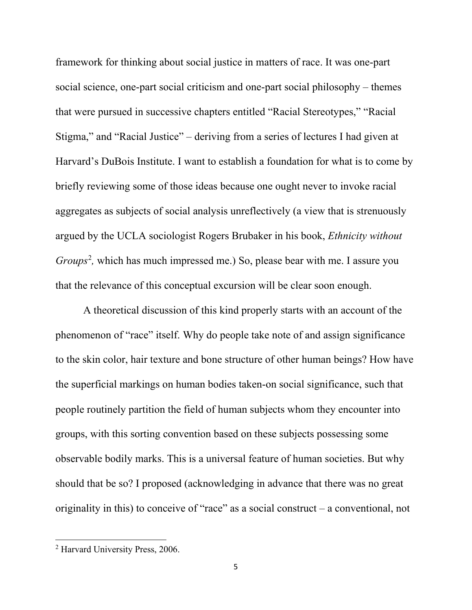framework for thinking about social justice in matters of race. It was one-part social science, one-part social criticism and one-part social philosophy – themes that were pursued in successive chapters entitled "Racial Stereotypes," "Racial Stigma," and "Racial Justice" – deriving from a series of lectures I had given at Harvard's DuBois Institute. I want to establish a foundation for what is to come by briefly reviewing some of those ideas because one ought never to invoke racial aggregates as subjects of social analysis unreflectively (a view that is strenuously argued by the UCLA sociologist Rogers Brubaker in his book, *Ethnicity without*  Groups<sup>[2](#page-4-0)</sup>, which has much impressed me.) So, please bear with me. I assure you that the relevance of this conceptual excursion will be clear soon enough.

A theoretical discussion of this kind properly starts with an account of the phenomenon of "race" itself. Why do people take note of and assign significance to the skin color, hair texture and bone structure of other human beings? How have the superficial markings on human bodies taken-on social significance, such that people routinely partition the field of human subjects whom they encounter into groups, with this sorting convention based on these subjects possessing some observable bodily marks. This is a universal feature of human societies. But why should that be so? I proposed (acknowledging in advance that there was no great originality in this) to conceive of "race" as a social construct – a conventional, not

<span id="page-4-0"></span><sup>2</sup> Harvard University Press, 2006.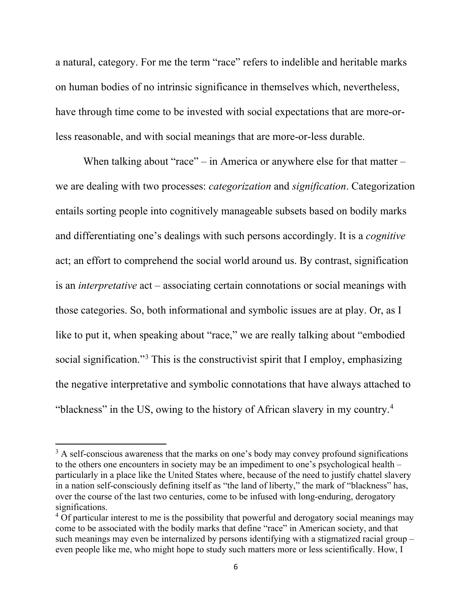a natural, category. For me the term "race" refers to indelible and heritable marks on human bodies of no intrinsic significance in themselves which, nevertheless, have through time come to be invested with social expectations that are more-orless reasonable, and with social meanings that are more-or-less durable.

When talking about "race" – in America or anywhere else for that matter – we are dealing with two processes: *categorization* and *signification*. Categorization entails sorting people into cognitively manageable subsets based on bodily marks and differentiating one's dealings with such persons accordingly. It is a *cognitive* act; an effort to comprehend the social world around us. By contrast, signification is an *interpretative* act – associating certain connotations or social meanings with those categories. So, both informational and symbolic issues are at play. Or, as I like to put it, when speaking about "race," we are really talking about "embodied" social signification."[3](#page-5-0) This is the constructivist spirit that I employ, emphasizing the negative interpretative and symbolic connotations that have always attached to "blackness" in the US, owing to the history of African slavery in my country.<sup>[4](#page-5-1)</sup>

<span id="page-5-0"></span> $3$  A self-conscious awareness that the marks on one's body may convey profound significations to the others one encounters in society may be an impediment to one's psychological health – particularly in a place like the United States where, because of the need to justify chattel slavery in a nation self-consciously defining itself as "the land of liberty," the mark of "blackness" has, over the course of the last two centuries, come to be infused with long-enduring, derogatory significations.

<span id="page-5-1"></span> $4$  Of particular interest to me is the possibility that powerful and derogatory social meanings may come to be associated with the bodily marks that define "race" in American society, and that such meanings may even be internalized by persons identifying with a stigmatized racial group – even people like me, who might hope to study such matters more or less scientifically. How, I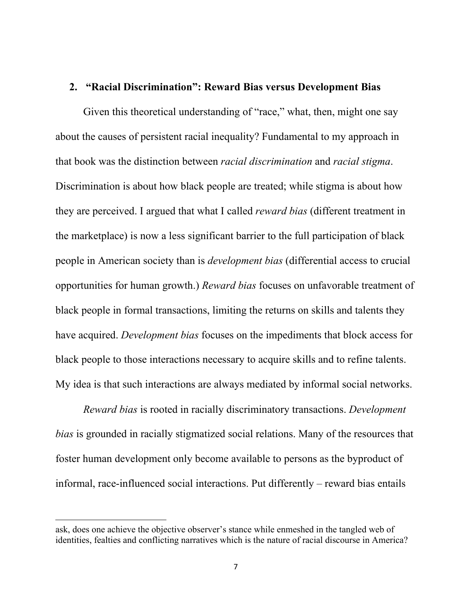### **2. "Racial Discrimination": Reward Bias versus Development Bias**

Given this theoretical understanding of "race," what, then, might one say about the causes of persistent racial inequality? Fundamental to my approach in that book was the distinction between *racial discrimination* and *racial stigma*. Discrimination is about how black people are treated; while stigma is about how they are perceived. I argued that what I called *reward bias* (different treatment in the marketplace) is now a less significant barrier to the full participation of black people in American society than is *development bias* (differential access to crucial opportunities for human growth.) *Reward bias* focuses on unfavorable treatment of black people in formal transactions, limiting the returns on skills and talents they have acquired. *Development bias* focuses on the impediments that block access for black people to those interactions necessary to acquire skills and to refine talents. My idea is that such interactions are always mediated by informal social networks.

*Reward bias* is rooted in racially discriminatory transactions. *Development bias* is grounded in racially stigmatized social relations. Many of the resources that foster human development only become available to persons as the byproduct of informal, race-influenced social interactions. Put differently – reward bias entails

ask, does one achieve the objective observer's stance while enmeshed in the tangled web of identities, fealties and conflicting narratives which is the nature of racial discourse in America?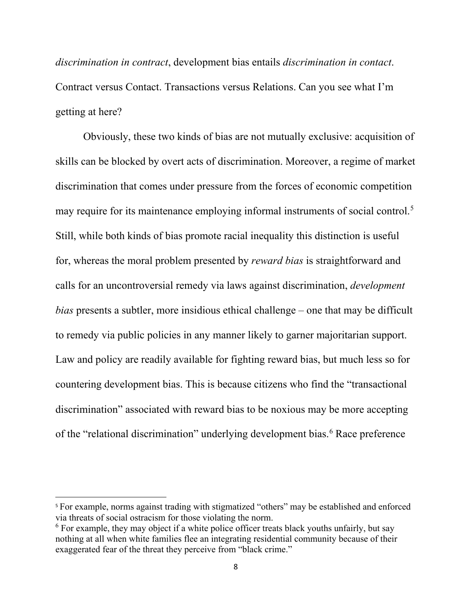*discrimination in contract*, development bias entails *discrimination in contact*. Contract versus Contact. Transactions versus Relations. Can you see what I'm getting at here?

Obviously, these two kinds of bias are not mutually exclusive: acquisition of skills can be blocked by overt acts of discrimination. Moreover, a regime of market discrimination that comes under pressure from the forces of economic competition may require for its maintenance employing informal instruments of social control. [5](#page-7-0) Still, while both kinds of bias promote racial inequality this distinction is useful for, whereas the moral problem presented by *reward bias* is straightforward and calls for an uncontroversial remedy via laws against discrimination, *development bias* presents a subtler, more insidious ethical challenge – one that may be difficult to remedy via public policies in any manner likely to garner majoritarian support. Law and policy are readily available for fighting reward bias, but much less so for countering development bias. This is because citizens who find the "transactional discrimination" associated with reward bias to be noxious may be more accepting of the "relational discrimination" underlying development bias.<sup>[6](#page-7-1)</sup> Race preference

<span id="page-7-0"></span><sup>&</sup>lt;sup>5</sup> For example, norms against trading with stigmatized "others" may be established and enforced via threats of social ostracism for those violating the norm.

<span id="page-7-1"></span> $6$  For example, they may object if a white police officer treats black youths unfairly, but say nothing at all when white families flee an integrating residential community because of their exaggerated fear of the threat they perceive from "black crime."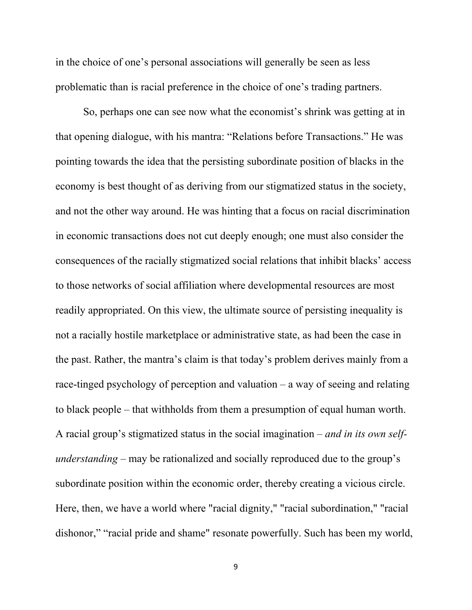in the choice of one's personal associations will generally be seen as less problematic than is racial preference in the choice of one's trading partners.

So, perhaps one can see now what the economist's shrink was getting at in that opening dialogue, with his mantra: "Relations before Transactions." He was pointing towards the idea that the persisting subordinate position of blacks in the economy is best thought of as deriving from our stigmatized status in the society, and not the other way around. He was hinting that a focus on racial discrimination in economic transactions does not cut deeply enough; one must also consider the consequences of the racially stigmatized social relations that inhibit blacks' access to those networks of social affiliation where developmental resources are most readily appropriated. On this view, the ultimate source of persisting inequality is not a racially hostile marketplace or administrative state, as had been the case in the past. Rather, the mantra's claim is that today's problem derives mainly from a race-tinged psychology of perception and valuation – a way of seeing and relating to black people – that withholds from them a presumption of equal human worth. A racial group's stigmatized status in the social imagination – *and in its own selfunderstanding* – may be rationalized and socially reproduced due to the group's subordinate position within the economic order, thereby creating a vicious circle. Here, then, we have a world where "racial dignity," "racial subordination," "racial dishonor," "racial pride and shame" resonate powerfully. Such has been my world,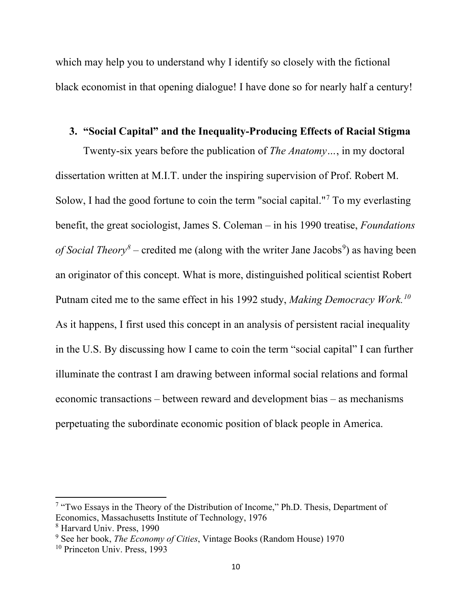which may help you to understand why I identify so closely with the fictional black economist in that opening dialogue! I have done so for nearly half a century!

## **3. "Social Capital" and the Inequality-Producing Effects of Racial Stigma**

Twenty-six years before the publication of *The Anatomy…*, in my doctoral dissertation written at M.I.T. under the inspiring supervision of Prof. Robert M. Solow, I had the good fortune to coin the term "social capital."<sup>[7](#page-9-0)</sup> To my everlasting benefit, the great sociologist, James S. Coleman – in his 1990 treatise, *Foundations*  of Social Theory<sup>[8](#page-9-1)</sup> – credited me (along with the writer Jane Jacobs<sup>[9](#page-9-2)</sup>) as having been an originator of this concept. What is more, distinguished political scientist Robert Putnam cited me to the same effect in his 1992 study, *Making Democracy Work.[10](#page-9-3)* As it happens, I first used this concept in an analysis of persistent racial inequality in the U.S. By discussing how I came to coin the term "social capital" I can further illuminate the contrast I am drawing between informal social relations and formal economic transactions – between reward and development bias – as mechanisms perpetuating the subordinate economic position of black people in America.

<span id="page-9-0"></span><sup>7</sup> "Two Essays in the Theory of the Distribution of Income," Ph.D. Thesis, Department of Economics, Massachusetts Institute of Technology, 1976

<span id="page-9-1"></span><sup>8</sup> Harvard Univ. Press, 1990

<span id="page-9-2"></span><sup>9</sup> See her book, *The Economy of Cities*, Vintage Books (Random House) 1970

<span id="page-9-3"></span><sup>10</sup> Princeton Univ. Press, 1993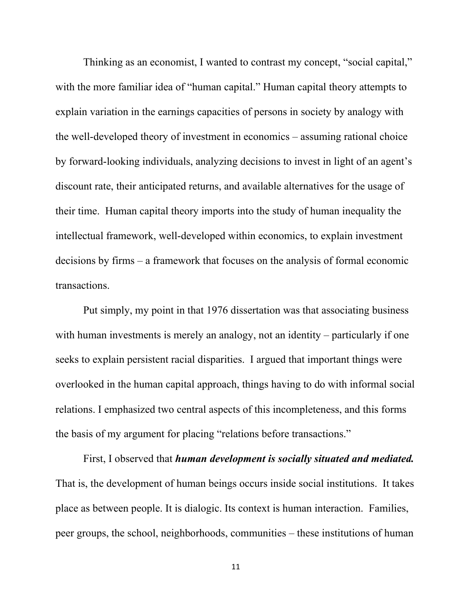Thinking as an economist, I wanted to contrast my concept, "social capital," with the more familiar idea of "human capital." Human capital theory attempts to explain variation in the earnings capacities of persons in society by analogy with the well-developed theory of investment in economics – assuming rational choice by forward-looking individuals, analyzing decisions to invest in light of an agent's discount rate, their anticipated returns, and available alternatives for the usage of their time. Human capital theory imports into the study of human inequality the intellectual framework, well-developed within economics, to explain investment decisions by firms – a framework that focuses on the analysis of formal economic transactions.

Put simply, my point in that 1976 dissertation was that associating business with human investments is merely an analogy, not an identity – particularly if one seeks to explain persistent racial disparities. I argued that important things were overlooked in the human capital approach, things having to do with informal social relations. I emphasized two central aspects of this incompleteness, and this forms the basis of my argument for placing "relations before transactions."

First, I observed that *human development is socially situated and mediated.*  That is, the development of human beings occurs inside social institutions. It takes place as between people. It is dialogic. Its context is human interaction. Families, peer groups, the school, neighborhoods, communities – these institutions of human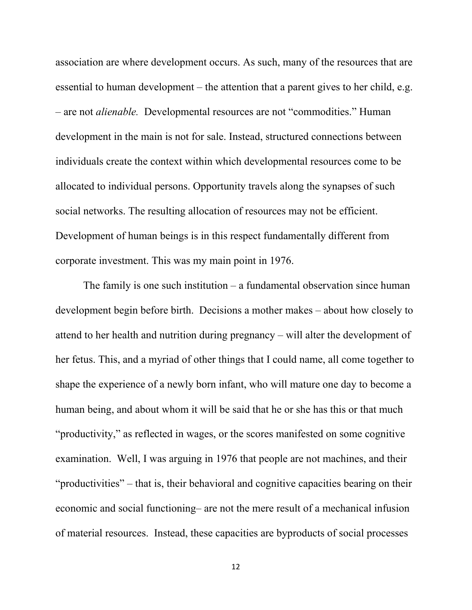association are where development occurs. As such, many of the resources that are essential to human development – the attention that a parent gives to her child, e.g. – are not *alienable.* Developmental resources are not "commodities." Human development in the main is not for sale. Instead, structured connections between individuals create the context within which developmental resources come to be allocated to individual persons. Opportunity travels along the synapses of such social networks. The resulting allocation of resources may not be efficient. Development of human beings is in this respect fundamentally different from corporate investment. This was my main point in 1976.

The family is one such institution – a fundamental observation since human development begin before birth. Decisions a mother makes – about how closely to attend to her health and nutrition during pregnancy – will alter the development of her fetus. This, and a myriad of other things that I could name, all come together to shape the experience of a newly born infant, who will mature one day to become a human being, and about whom it will be said that he or she has this or that much "productivity," as reflected in wages, or the scores manifested on some cognitive examination. Well, I was arguing in 1976 that people are not machines, and their "productivities" – that is, their behavioral and cognitive capacities bearing on their economic and social functioning– are not the mere result of a mechanical infusion of material resources. Instead, these capacities are byproducts of social processes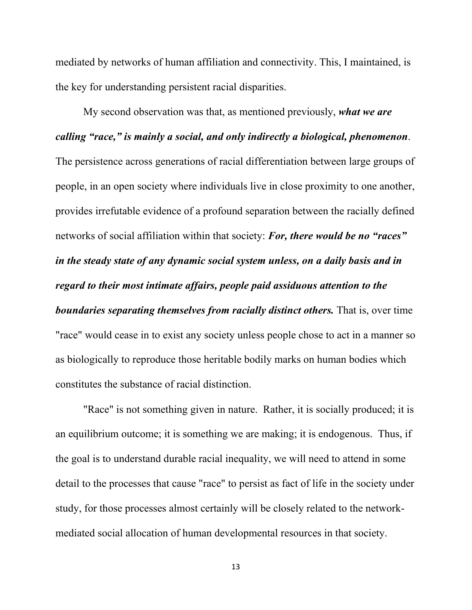mediated by networks of human affiliation and connectivity. This, I maintained, is the key for understanding persistent racial disparities.

My second observation was that, as mentioned previously, *what we are calling "race," is mainly a social, and only indirectly a biological, phenomenon*. The persistence across generations of racial differentiation between large groups of people, in an open society where individuals live in close proximity to one another, provides irrefutable evidence of a profound separation between the racially defined networks of social affiliation within that society: *For, there would be no "races" in the steady state of any dynamic social system unless, on a daily basis and in regard to their most intimate affairs, people paid assiduous attention to the boundaries separating themselves from racially distinct others.* That is, over time "race" would cease in to exist any society unless people chose to act in a manner so as biologically to reproduce those heritable bodily marks on human bodies which constitutes the substance of racial distinction.

"Race" is not something given in nature. Rather, it is socially produced; it is an equilibrium outcome; it is something we are making; it is endogenous. Thus, if the goal is to understand durable racial inequality, we will need to attend in some detail to the processes that cause "race" to persist as fact of life in the society under study, for those processes almost certainly will be closely related to the networkmediated social allocation of human developmental resources in that society.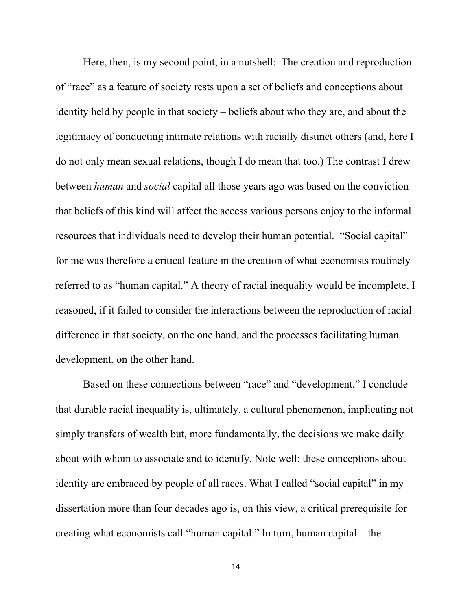Here, then, is my second point, in a nutshell: The creation and reproduction of "race" as a feature of society rests upon a set of beliefs and conceptions about identity held by people in that society – beliefs about who they are, and about the legitimacy of conducting intimate relations with racially distinct others (and, here I do not only mean sexual relations, though I do mean that too.) The contrast I drew between *human* and *social* capital all those years ago was based on the conviction that beliefs of this kind will affect the access various persons enjoy to the informal resources that individuals need to develop their human potential. "Social capital" for me was therefore a critical feature in the creation of what economists routinely referred to as "human capital." A theory of racial inequality would be incomplete, I reasoned, if it failed to consider the interactions between the reproduction of racial difference in that society, on the one hand, and the processes facilitating human development, on the other hand.

Based on these connections between "race" and "development," I conclude that durable racial inequality is, ultimately, a cultural phenomenon, implicating not simply transfers of wealth but, more fundamentally, the decisions we make daily about with whom to associate and to identify. Note well: these conceptions about identity are embraced by people of all races. What I called "social capital" in my dissertation more than four decades ago is, on this view, a critical prerequisite for creating what economists call "human capital." In turn, human capital – the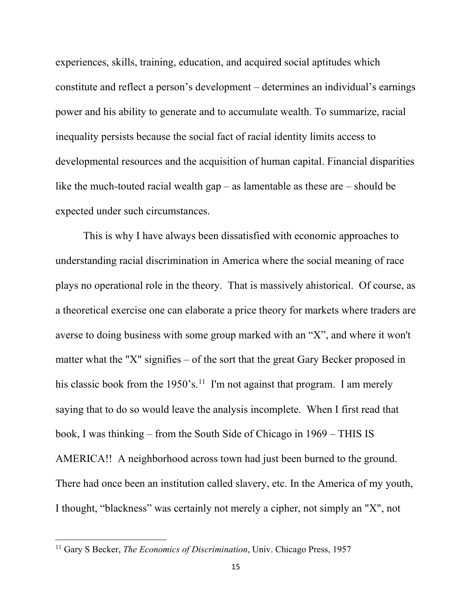experiences, skills, training, education, and acquired social aptitudes which constitute and reflect a person's development – determines an individual's earnings power and his ability to generate and to accumulate wealth. To summarize, racial inequality persists because the social fact of racial identity limits access to developmental resources and the acquisition of human capital. Financial disparities like the much-touted racial wealth  $gap - as$  lamentable as these are  $-$  should be expected under such circumstances.

This is why I have always been dissatisfied with economic approaches to understanding racial discrimination in America where the social meaning of race plays no operational role in the theory. That is massively ahistorical. Of course, as a theoretical exercise one can elaborate a price theory for markets where traders are averse to doing business with some group marked with an "X", and where it won't matter what the "X" signifies – of the sort that the great Gary Becker proposed in his classic book from the 1950's.<sup>11</sup> I'm not against that program. I am merely saying that to do so would leave the analysis incomplete. When I first read that book, I was thinking – from the South Side of Chicago in 1969 – THIS IS AMERICA!! A neighborhood across town had just been burned to the ground. There had once been an institution called slavery, etc. In the America of my youth, I thought, "blackness" was certainly not merely a cipher, not simply an "X", not

<span id="page-14-0"></span><sup>11</sup> Gary S Becker, *The Economics of Discrimination*, Univ. Chicago Press, 1957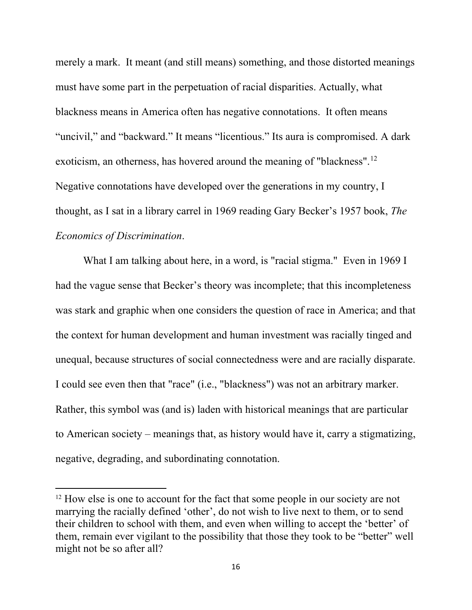merely a mark. It meant (and still means) something, and those distorted meanings must have some part in the perpetuation of racial disparities. Actually, what blackness means in America often has negative connotations. It often means "uncivil," and "backward." It means "licentious." Its aura is compromised. A dark exoticism, an otherness, has hovered around the meaning of "blackness".<sup>[12](#page-15-0)</sup> Negative connotations have developed over the generations in my country, I thought, as I sat in a library carrel in 1969 reading Gary Becker's 1957 book, *The Economics of Discrimination*.

What I am talking about here, in a word, is "racial stigma." Even in 1969 I had the vague sense that Becker's theory was incomplete; that this incompleteness was stark and graphic when one considers the question of race in America; and that the context for human development and human investment was racially tinged and unequal, because structures of social connectedness were and are racially disparate. I could see even then that "race" (i.e., "blackness") was not an arbitrary marker. Rather, this symbol was (and is) laden with historical meanings that are particular to American society – meanings that, as history would have it, carry a stigmatizing, negative, degrading, and subordinating connotation.

<span id="page-15-0"></span><sup>&</sup>lt;sup>12</sup> How else is one to account for the fact that some people in our society are not marrying the racially defined 'other', do not wish to live next to them, or to send their children to school with them, and even when willing to accept the 'better' of them, remain ever vigilant to the possibility that those they took to be "better" well might not be so after all?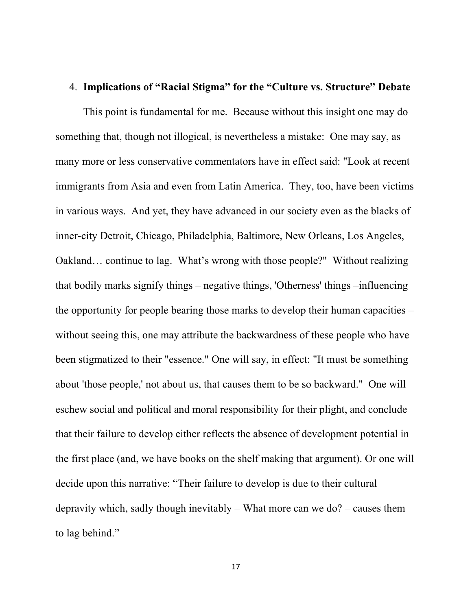### 4. **Implications of "Racial Stigma" for the "Culture vs. Structure" Debate**

This point is fundamental for me. Because without this insight one may do something that, though not illogical, is nevertheless a mistake: One may say, as many more or less conservative commentators have in effect said: "Look at recent immigrants from Asia and even from Latin America. They, too, have been victims in various ways. And yet, they have advanced in our society even as the blacks of inner-city Detroit, Chicago, Philadelphia, Baltimore, New Orleans, Los Angeles, Oakland… continue to lag. What's wrong with those people?" Without realizing that bodily marks signify things – negative things, 'Otherness' things –influencing the opportunity for people bearing those marks to develop their human capacities – without seeing this, one may attribute the backwardness of these people who have been stigmatized to their "essence." One will say, in effect: "It must be something about 'those people,' not about us, that causes them to be so backward." One will eschew social and political and moral responsibility for their plight, and conclude that their failure to develop either reflects the absence of development potential in the first place (and, we have books on the shelf making that argument). Or one will decide upon this narrative: "Their failure to develop is due to their cultural depravity which, sadly though inevitably – What more can we do? – causes them to lag behind."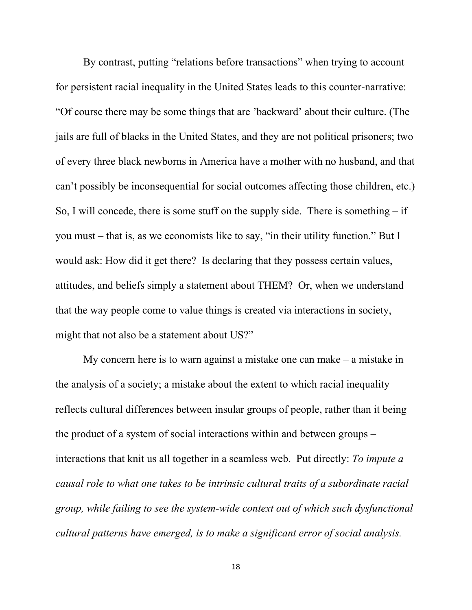By contrast, putting "relations before transactions" when trying to account for persistent racial inequality in the United States leads to this counter-narrative: "Of course there may be some things that are 'backward' about their culture. (The jails are full of blacks in the United States, and they are not political prisoners; two of every three black newborns in America have a mother with no husband, and that can't possibly be inconsequential for social outcomes affecting those children, etc.) So, I will concede, there is some stuff on the supply side. There is something  $-$  if you must – that is, as we economists like to say, "in their utility function." But I would ask: How did it get there? Is declaring that they possess certain values, attitudes, and beliefs simply a statement about THEM? Or, when we understand that the way people come to value things is created via interactions in society, might that not also be a statement about US?"

My concern here is to warn against a mistake one can make – a mistake in the analysis of a society; a mistake about the extent to which racial inequality reflects cultural differences between insular groups of people, rather than it being the product of a system of social interactions within and between groups – interactions that knit us all together in a seamless web. Put directly: *To impute a causal role to what one takes to be intrinsic cultural traits of a subordinate racial group, while failing to see the system-wide context out of which such dysfunctional cultural patterns have emerged, is to make a significant error of social analysis.*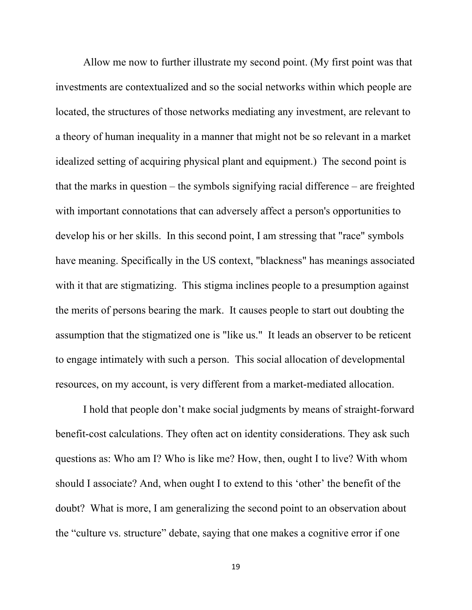Allow me now to further illustrate my second point. (My first point was that investments are contextualized and so the social networks within which people are located, the structures of those networks mediating any investment, are relevant to a theory of human inequality in a manner that might not be so relevant in a market idealized setting of acquiring physical plant and equipment.) The second point is that the marks in question – the symbols signifying racial difference – are freighted with important connotations that can adversely affect a person's opportunities to develop his or her skills. In this second point, I am stressing that "race" symbols have meaning. Specifically in the US context, "blackness" has meanings associated with it that are stigmatizing. This stigma inclines people to a presumption against the merits of persons bearing the mark. It causes people to start out doubting the assumption that the stigmatized one is "like us." It leads an observer to be reticent to engage intimately with such a person. This social allocation of developmental resources, on my account, is very different from a market-mediated allocation.

I hold that people don't make social judgments by means of straight-forward benefit-cost calculations. They often act on identity considerations. They ask such questions as: Who am I? Who is like me? How, then, ought I to live? With whom should I associate? And, when ought I to extend to this 'other' the benefit of the doubt? What is more, I am generalizing the second point to an observation about the "culture vs. structure" debate, saying that one makes a cognitive error if one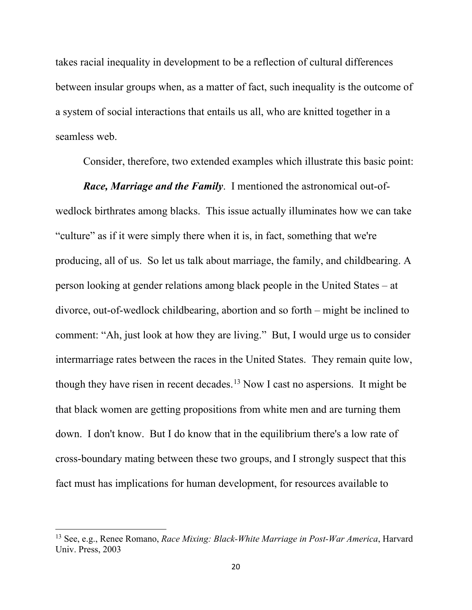takes racial inequality in development to be a reflection of cultural differences between insular groups when, as a matter of fact, such inequality is the outcome of a system of social interactions that entails us all, who are knitted together in a seamless web.

Consider, therefore, two extended examples which illustrate this basic point:

*Race, Marriage and the Family*. I mentioned the astronomical out-ofwedlock birthrates among blacks. This issue actually illuminates how we can take "culture" as if it were simply there when it is, in fact, something that we're producing, all of us. So let us talk about marriage, the family, and childbearing. A person looking at gender relations among black people in the United States – at divorce, out-of-wedlock childbearing, abortion and so forth – might be inclined to comment: "Ah, just look at how they are living." But, I would urge us to consider intermarriage rates between the races in the United States. They remain quite low, though they have risen in recent decades.<sup>[13](#page-19-0)</sup> Now I cast no aspersions. It might be that black women are getting propositions from white men and are turning them down. I don't know. But I do know that in the equilibrium there's a low rate of cross-boundary mating between these two groups, and I strongly suspect that this fact must has implications for human development, for resources available to

<span id="page-19-0"></span><sup>13</sup> See, e.g., Renee Romano, *Race Mixing: Black-White Marriage in Post-War America*, Harvard Univ. Press, 2003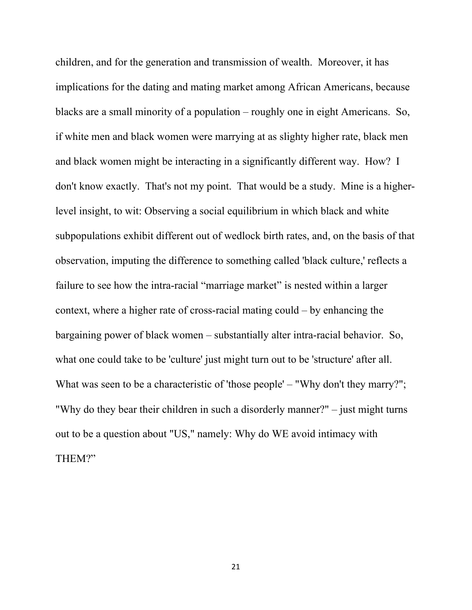children, and for the generation and transmission of wealth. Moreover, it has implications for the dating and mating market among African Americans, because blacks are a small minority of a population – roughly one in eight Americans. So, if white men and black women were marrying at as slighty higher rate, black men and black women might be interacting in a significantly different way. How? I don't know exactly. That's not my point. That would be a study. Mine is a higherlevel insight, to wit: Observing a social equilibrium in which black and white subpopulations exhibit different out of wedlock birth rates, and, on the basis of that observation, imputing the difference to something called 'black culture,' reflects a failure to see how the intra-racial "marriage market" is nested within a larger context, where a higher rate of cross-racial mating could – by enhancing the bargaining power of black women – substantially alter intra-racial behavior. So, what one could take to be 'culture' just might turn out to be 'structure' after all. What was seen to be a characteristic of 'those people' – "Why don't they marry?"; "Why do they bear their children in such a disorderly manner?" – just might turns out to be a question about "US," namely: Why do WE avoid intimacy with THEM?"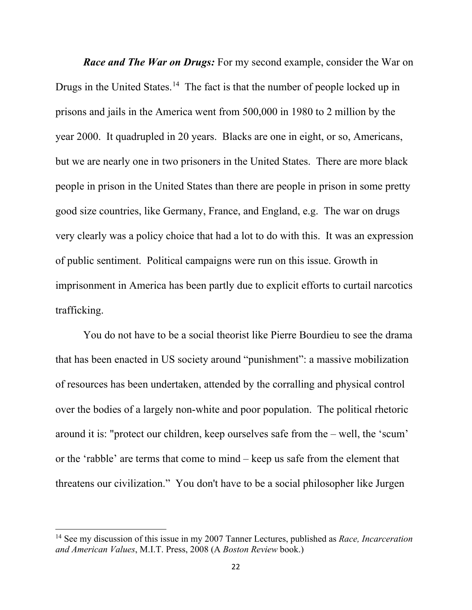*Race and The War on Drugs:* For my second example, consider the War on Drugs in the United States.<sup>14</sup> The fact is that the number of people locked up in prisons and jails in the America went from 500,000 in 1980 to 2 million by the year 2000. It quadrupled in 20 years. Blacks are one in eight, or so, Americans, but we are nearly one in two prisoners in the United States. There are more black people in prison in the United States than there are people in prison in some pretty good size countries, like Germany, France, and England, e.g. The war on drugs very clearly was a policy choice that had a lot to do with this. It was an expression of public sentiment. Political campaigns were run on this issue. Growth in imprisonment in America has been partly due to explicit efforts to curtail narcotics trafficking.

You do not have to be a social theorist like Pierre Bourdieu to see the drama that has been enacted in US society around "punishment": a massive mobilization of resources has been undertaken, attended by the corralling and physical control over the bodies of a largely non-white and poor population. The political rhetoric around it is: "protect our children, keep ourselves safe from the – well, the 'scum' or the 'rabble' are terms that come to mind – keep us safe from the element that threatens our civilization." You don't have to be a social philosopher like Jurgen

<span id="page-21-0"></span><sup>14</sup> See my discussion of this issue in my 2007 Tanner Lectures, published as *Race, Incarceration and American Values*, M.I.T. Press, 2008 (A *Boston Review* book.)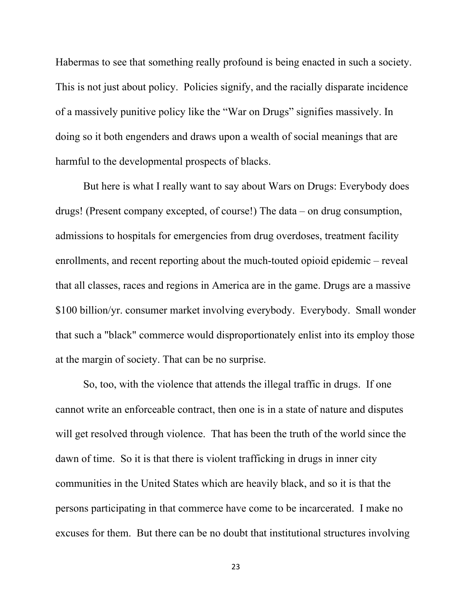Habermas to see that something really profound is being enacted in such a society. This is not just about policy. Policies signify, and the racially disparate incidence of a massively punitive policy like the "War on Drugs" signifies massively. In doing so it both engenders and draws upon a wealth of social meanings that are harmful to the developmental prospects of blacks.

But here is what I really want to say about Wars on Drugs: Everybody does drugs! (Present company excepted, of course!) The data – on drug consumption, admissions to hospitals for emergencies from drug overdoses, treatment facility enrollments, and recent reporting about the much-touted opioid epidemic – reveal that all classes, races and regions in America are in the game. Drugs are a massive \$100 billion/yr. consumer market involving everybody. Everybody. Small wonder that such a "black" commerce would disproportionately enlist into its employ those at the margin of society. That can be no surprise.

So, too, with the violence that attends the illegal traffic in drugs. If one cannot write an enforceable contract, then one is in a state of nature and disputes will get resolved through violence. That has been the truth of the world since the dawn of time. So it is that there is violent trafficking in drugs in inner city communities in the United States which are heavily black, and so it is that the persons participating in that commerce have come to be incarcerated. I make no excuses for them. But there can be no doubt that institutional structures involving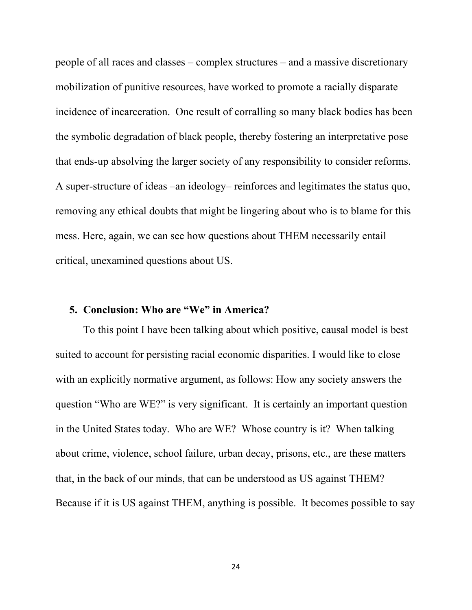people of all races and classes – complex structures – and a massive discretionary mobilization of punitive resources, have worked to promote a racially disparate incidence of incarceration. One result of corralling so many black bodies has been the symbolic degradation of black people, thereby fostering an interpretative pose that ends-up absolving the larger society of any responsibility to consider reforms. A super-structure of ideas –an ideology– reinforces and legitimates the status quo, removing any ethical doubts that might be lingering about who is to blame for this mess. Here, again, we can see how questions about THEM necessarily entail critical, unexamined questions about US.

# **5. Conclusion: Who are "We" in America?**

To this point I have been talking about which positive, causal model is best suited to account for persisting racial economic disparities. I would like to close with an explicitly normative argument, as follows: How any society answers the question "Who are WE?" is very significant. It is certainly an important question in the United States today. Who are WE? Whose country is it? When talking about crime, violence, school failure, urban decay, prisons, etc., are these matters that, in the back of our minds, that can be understood as US against THEM? Because if it is US against THEM, anything is possible. It becomes possible to say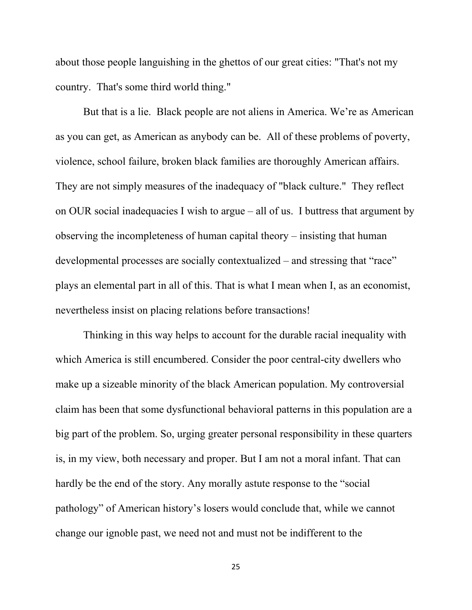about those people languishing in the ghettos of our great cities: "That's not my country. That's some third world thing."

But that is a lie. Black people are not aliens in America. We're as American as you can get, as American as anybody can be. All of these problems of poverty, violence, school failure, broken black families are thoroughly American affairs. They are not simply measures of the inadequacy of "black culture." They reflect on OUR social inadequacies I wish to argue – all of us. I buttress that argument by observing the incompleteness of human capital theory – insisting that human developmental processes are socially contextualized – and stressing that "race" plays an elemental part in all of this. That is what I mean when I, as an economist, nevertheless insist on placing relations before transactions!

Thinking in this way helps to account for the durable racial inequality with which America is still encumbered. Consider the poor central-city dwellers who make up a sizeable minority of the black American population. My controversial claim has been that some dysfunctional behavioral patterns in this population are a big part of the problem. So, urging greater personal responsibility in these quarters is, in my view, both necessary and proper. But I am not a moral infant. That can hardly be the end of the story. Any morally astute response to the "social pathology" of American history's losers would conclude that, while we cannot change our ignoble past, we need not and must not be indifferent to the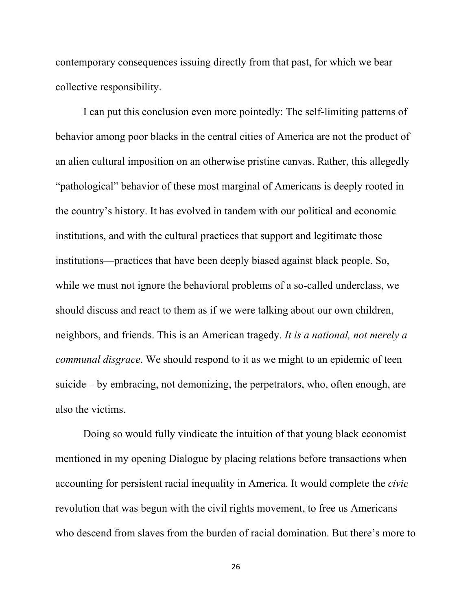contemporary consequences issuing directly from that past, for which we bear collective responsibility.

I can put this conclusion even more pointedly: The self-limiting patterns of behavior among poor blacks in the central cities of America are not the product of an alien cultural imposition on an otherwise pristine canvas. Rather, this allegedly "pathological" behavior of these most marginal of Americans is deeply rooted in the country's history. It has evolved in tandem with our political and economic institutions, and with the cultural practices that support and legitimate those institutions—practices that have been deeply biased against black people. So, while we must not ignore the behavioral problems of a so-called underclass, we should discuss and react to them as if we were talking about our own children, neighbors, and friends. This is an American tragedy. *It is a national, not merely a communal disgrace*. We should respond to it as we might to an epidemic of teen suicide – by embracing, not demonizing, the perpetrators, who, often enough, are also the victims.

Doing so would fully vindicate the intuition of that young black economist mentioned in my opening Dialogue by placing relations before transactions when accounting for persistent racial inequality in America. It would complete the *civic* revolution that was begun with the civil rights movement, to free us Americans who descend from slaves from the burden of racial domination. But there's more to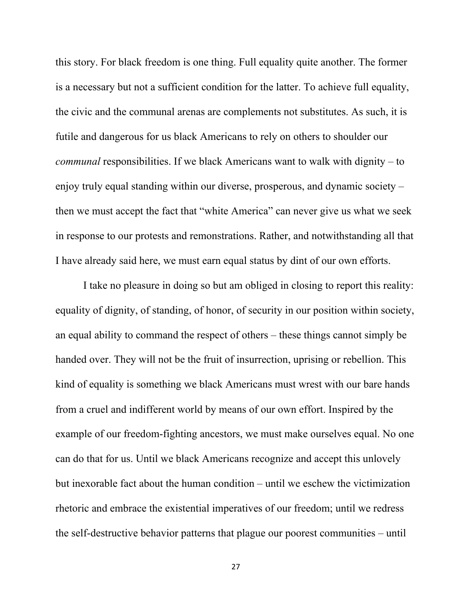this story. For black freedom is one thing. Full equality quite another. The former is a necessary but not a sufficient condition for the latter. To achieve full equality, the civic and the communal arenas are complements not substitutes. As such, it is futile and dangerous for us black Americans to rely on others to shoulder our *communal* responsibilities. If we black Americans want to walk with dignity – to enjoy truly equal standing within our diverse, prosperous, and dynamic society – then we must accept the fact that "white America" can never give us what we seek in response to our protests and remonstrations. Rather, and notwithstanding all that I have already said here, we must earn equal status by dint of our own efforts.

I take no pleasure in doing so but am obliged in closing to report this reality: equality of dignity, of standing, of honor, of security in our position within society, an equal ability to command the respect of others – these things cannot simply be handed over. They will not be the fruit of insurrection, uprising or rebellion. This kind of equality is something we black Americans must wrest with our bare hands from a cruel and indifferent world by means of our own effort. Inspired by the example of our freedom-fighting ancestors, we must make ourselves equal. No one can do that for us. Until we black Americans recognize and accept this unlovely but inexorable fact about the human condition – until we eschew the victimization rhetoric and embrace the existential imperatives of our freedom; until we redress the self-destructive behavior patterns that plague our poorest communities – until